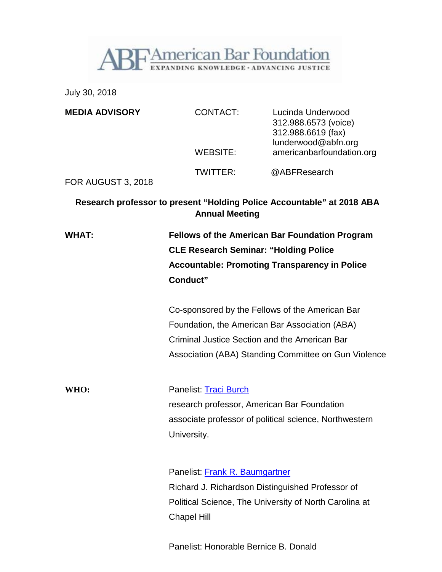

July 30, 2018

| <b>MEDIA ADVISORY</b>     | <b>CONTACT:</b>                                                                                                                                                           | Lucinda Underwood<br>312.988.6573 (voice)<br>312.988.6619 (fax)<br>lunderwood@abfn.org |
|---------------------------|---------------------------------------------------------------------------------------------------------------------------------------------------------------------------|----------------------------------------------------------------------------------------|
|                           | WEBSITE:                                                                                                                                                                  | americanbarfoundation.org                                                              |
| <b>FOR AUGUST 3, 2018</b> | TWITTER:                                                                                                                                                                  | @ABFResearch                                                                           |
|                           | <b>Annual Meeting</b>                                                                                                                                                     | Research professor to present "Holding Police Accountable" at 2018 ABA                 |
| <b>WHAT:</b>              | <b>Fellows of the American Bar Foundation Program</b><br><b>CLE Research Seminar: "Holding Police</b><br><b>Accountable: Promoting Transparency in Police</b><br>Conduct" |                                                                                        |
|                           | Co-sponsored by the Fellows of the American Bar<br>Foundation, the American Bar Association (ABA)<br>Criminal Justice Section and the American Bar                        | Association (ABA) Standing Committee on Gun Violence                                   |
| WHO:                      | Panelist: Traci Burch<br>research professor, American Bar Foundation<br>associate professor of political science, Northwestern<br>University.                             |                                                                                        |
|                           | Panelist: Frank R. Baumgartner<br>Richard J. Richardson Distinguished Professor of<br><b>Chapel Hill</b>                                                                  | Political Science, The University of North Carolina at                                 |

Panelist: Honorable Bernice B. Donald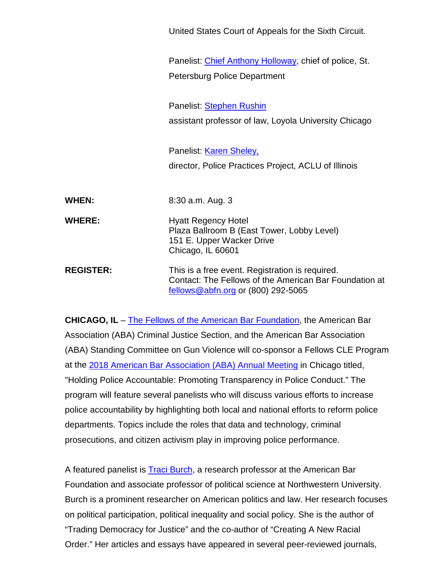Panelist: Chief Anthony [Holloway,](http://police.stpete.org/ootc/chief-of-police-biography.html) chief of police, St. Petersburg Police Department Panelist: [Stephen](https://luc.edu/law/fulltime/rushin.shtml) Rushin assistant professor of law, Loyola University Chicago Panelist: Karen [Sheley,](https://www.aclu-il.org/en/biographies/karen-sheley) director, Police Practices Project, ACLU of Illinois **WHEN:** 8:30 a.m. Aug. 3 **WHERE:** Hyatt Regency Hotel Plaza Ballroom B (East Tower, Lobby Level) 151 E. Upper Wacker Drive Chicago, IL 60601 **REGISTER:** This is a free event. Registration is required. Contact: The Fellows of the American Bar Foundation at [fellows@abfn.org](mailto:fellows@abfn.org) or (800) 292-5065

United States Court of Appeals for the Sixth Circuit.

**CHICAGO, IL** – The Fellows of the American Bar [Foundation,](http://www.americanbarfoundation.org/fellows/index.html) the American Bar Association (ABA) Criminal Justice Section, and the American Bar Association (ABA) Standing Committee on Gun Violence will co-sponsor a Fellows CLE Program at the 2018 American Bar [Association](https://www.americanbar.org/portals/2018-annual-meeting.html) (ABA) Annual Meeting in Chicago titled, "Holding Police Accountable: Promoting Transparency in Police Conduct." The program will feature several panelists who will discuss various efforts to increase police accountability by highlighting both local and national efforts to reform police departments. Topics include the roles that data and technology, criminal prosecutions, and citizen activism play in improving police performance.

A featured panelist is Traci [Burch,](http://www.americanbarfoundation.org/faculty/profile/2) a research professor at the American Bar Foundation and associate professor of political science at Northwestern University. Burch is a prominent researcher on American politics and law. Her research focuses on political participation, political inequality and social policy. She is the author of "Trading Democracy for Justice" and the co-author of "Creating A New Racial Order." Her articles and essays have appeared in several peer-reviewed journals,